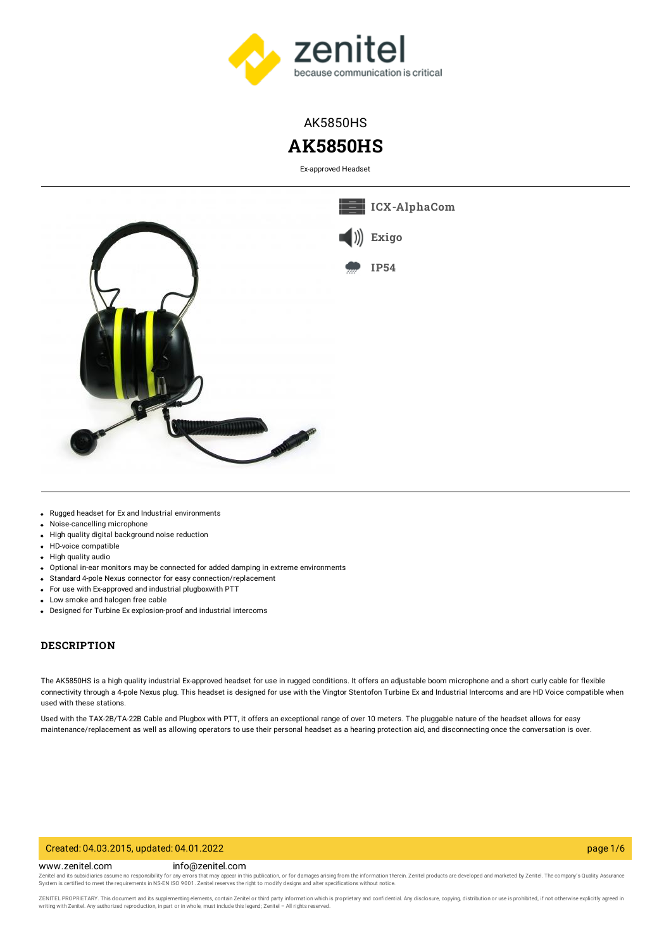

## AK5850HS

# **AK5850HS**

Ex-approved Headset



- Rugged headset for Ex and Industrial environments
- Noise-cancelling microphone  $\bullet$
- High quality digital background noise reduction
- HD-voice compatible
- High quality audio
- Optional in-ear monitors may be connected for added damping in extreme environments
- Standard 4-pole Nexus connector for easy connection/replacement
- For use with Ex-approved and industrial plugboxwith PTT
- Low smoke and halogen free cable
- Designed for Turbine Ex explosion-proof and industrial intercoms

#### **DESCRIPTION**

The AK5850HS is a high quality industrial Ex-approved headset for use in rugged conditions. It offers an adjustable boom microphone and a short curly cable for flexible connectivity through a 4-pole Nexus plug. This headset is designed for use with the Vingtor Stentofon Turbine Ex and Industrial Intercoms and are HD Voice compatible when used with these stations.

Used with the TAX-2B/TA-22B Cable and Plugbox with PTT, it offers an exceptional range of over 10 meters. The pluggable nature of the headset allows for easy maintenance/replacement as well as allowing operators to use their personal headset as a hearing protection aid, and disconnecting once the conversation is over.

#### Created: 04.03.2015, updated: 04.01.2022 page 1/6

www.zenitel.com info@zenitel.com

Zenitel and its subsidiaries assume no responsibility for any errors that may appear in this publication, or for damages arising from the information therein. Zenitel products are developed and marketed by Zenitel. The com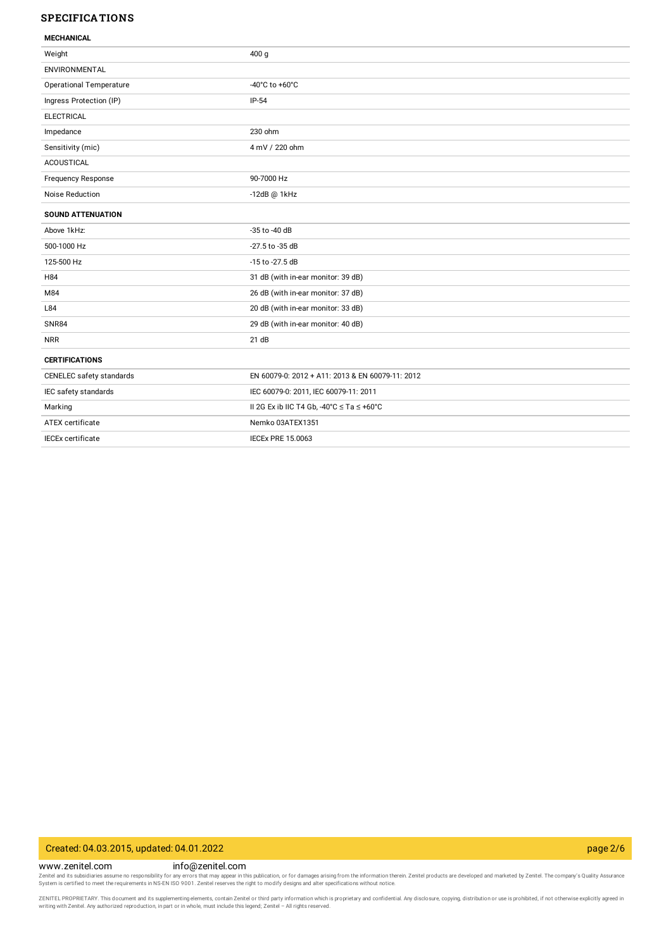#### **SPECIFICATIONS**

| MECHANICAL |  |
|------------|--|

| MEVONIVAL                      |                                                   |
|--------------------------------|---------------------------------------------------|
| Weight                         | 400 <sub>g</sub>                                  |
| ENVIRONMENTAL                  |                                                   |
| <b>Operational Temperature</b> | -40°C to +60°C                                    |
| Ingress Protection (IP)        | $IP-54$                                           |
| <b>ELECTRICAL</b>              |                                                   |
| Impedance                      | 230 ohm                                           |
| Sensitivity (mic)              | 4 mV / 220 ohm                                    |
| <b>ACOUSTICAL</b>              |                                                   |
| <b>Frequency Response</b>      | 90-7000 Hz                                        |
| Noise Reduction                | $-12dB$ @ $1kHz$                                  |
| <b>SOUND ATTENUATION</b>       |                                                   |
| Above 1kHz:                    | -35 to -40 dB                                     |
| 500-1000 Hz                    | -27.5 to -35 dB                                   |
| 125-500 Hz                     | -15 to -27.5 dB                                   |
| H84                            | 31 dB (with in-ear monitor: 39 dB)                |
| M84                            | 26 dB (with in-ear monitor: 37 dB)                |
| L84                            | 20 dB (with in-ear monitor: 33 dB)                |
| <b>SNR84</b>                   | 29 dB (with in-ear monitor: 40 dB)                |
| <b>NRR</b>                     | 21 dB                                             |
| <b>CERTIFICATIONS</b>          |                                                   |
| CENELEC safety standards       | EN 60079-0: 2012 + A11: 2013 & EN 60079-11: 2012  |
| IEC safety standards           | IEC 60079-0: 2011, IEC 60079-11: 2011             |
| Marking                        | II 2G Ex ib IIC T4 Gb, -40°C $\le$ Ta $\le$ +60°C |
| ATEX certificate               | Nemko 03ATEX1351                                  |
| <b>IECEx certificate</b>       | <b>IECEX PRE 15.0063</b>                          |
|                                |                                                   |

### Created: 04.03.2015, updated: 04.01.2022 page 2/6

www.zenitel.com info@zenitel.com Zenitel and its subsidiaries assume no responsibility for any errors that may appear in this publication, or for damages arising from the information therein. Zenitel products are developed and marketed by Zenitel. The com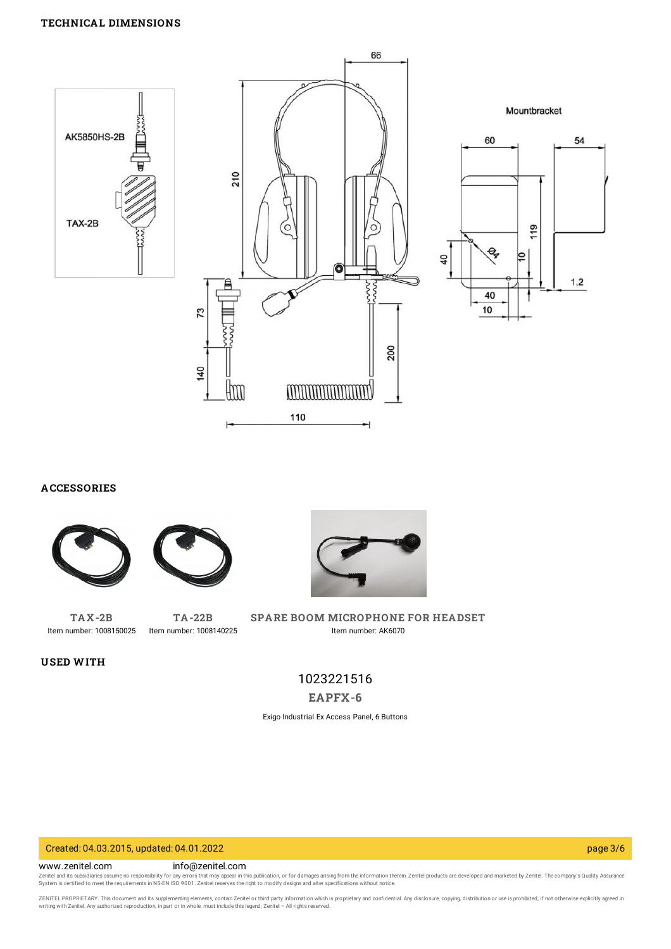

**ACCESSORIES**





**[TAX-2B](https://www.zenitel.com/product/tax-2b)** Item number: 1008150025

**USED WITH**

**[TA-22B](https://www.zenitel.com/product/ta-22b)** Item number: 1008140225



**SPARE BOOM [MICROPHONE](https://www.zenitel.com/product/spare-boom-microphone-headset) FOR HEADSET** Item number: AK6070

## 1023221516

**[EAPFX-6](https://www.zenitel.com/product/eapfx-6)**

Exigo Industrial Ex Access Panel, 6 Buttons

#### Created: 04.03.2015, updated: 04.01.2022 page 3/6

www.zenitel.com info@zenitel.com

Zenitel and its subsidiaries assume no responsibility for any errors that may appear in this publication, or for damages arising from the information therein. Zenitel products are developed and marketed by Zenitel. The com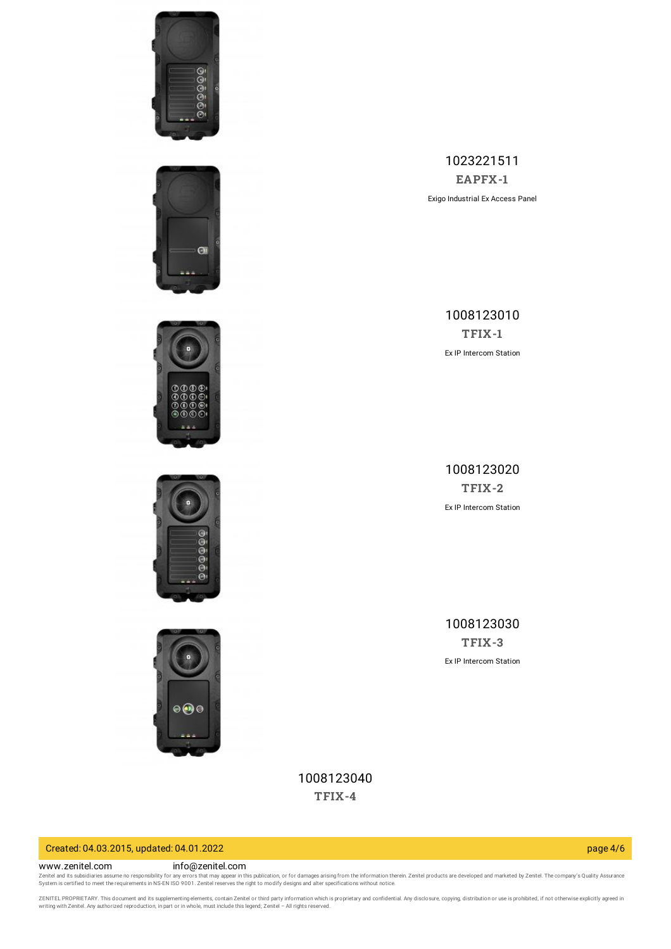









1023221511 **[EAPFX-1](https://www.zenitel.com/product/eapfx-1)** Exigo Industrial Ex Access Panel

> 1008123010 **[TFIX-1](https://www.zenitel.com/product/tfix-1)** Ex IP Intercom Station

1008123020 **[TFIX-2](https://www.zenitel.com/product/tfix-2)** Ex IP Intercom Station

1008123030 **[TFIX-3](https://www.zenitel.com/product/tfix-3)** Ex IP Intercom Station

1008123040 **[TFIX-4](https://www.zenitel.com/product/tfix-4)**

## Created: 04.03.2015, updated: 04.01.2022 page 4/6

#### www.zenitel.com info@zenitel.com

Zenitel and its subsidiaries assume no responsibility for any errors that may appear in this publication, or for damages arising from the information therein. Zenitel products are developed and marketed by Zenitel. The com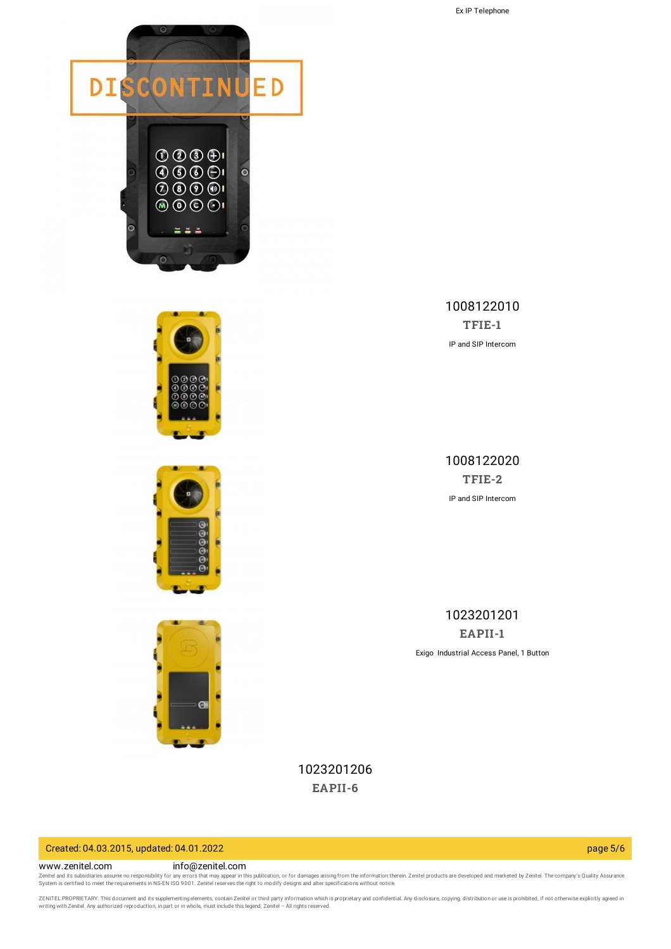







1008122010 **[TFIE-1](https://www.zenitel.com/product/tfie-1)** IP and SIP Intercom

1008122020 **[TFIE-2](https://www.zenitel.com/product/tfie-2)** IP and SIP Intercom

1023201201 **[EAPII-1](https://www.zenitel.com/product/eapii-1)** Exigo Industrial Access Panel, 1 Button

1023201206 **[EAPII-6](https://www.zenitel.com/product/eapii-6)**

#### Created: 04.03.2015, updated: 04.01.2022 page 5/6

www.zenitel.com info@zenitel.com

Zenitel and its subsidiaries assume no responsibility for any errors that may appear in this publication, or for damages arising from the information therein. Zenitel products are developed and marketed by Zenitel. The com